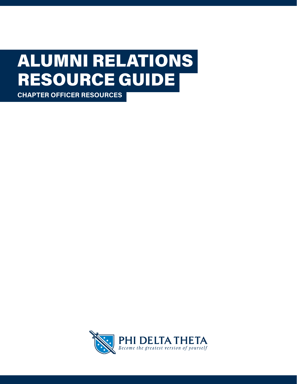# RESOURCE GUIDE ALUMNI RELATIONS

**CHAPTER OFFICER RESOURCES**

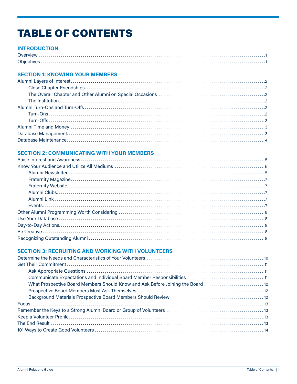# **TABLE OF CONTENTS**

### **INTRODUCTION**

#### **SECTION 1: KNOWING YOUR MEMBERS**

#### **SECTION 2: COMMUNICATING WITH YOUR MEMBERS**

#### **SECTION 3: RECRUITING AND WORKING WITH VOLUNTEERS**

| What Prospective Board Members Should Know and Ask Before Joining the Board 12 |  |
|--------------------------------------------------------------------------------|--|
|                                                                                |  |
|                                                                                |  |
|                                                                                |  |
|                                                                                |  |
|                                                                                |  |
|                                                                                |  |
|                                                                                |  |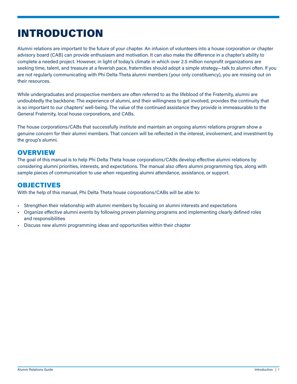# <span id="page-2-0"></span>INTRODUCTION

Alumni relations are important to the future of your chapter. An infusion of volunteers into a house corporation or chapter advisory board (CAB) can provide enthusiasm and motivation. It can also make the difference in a chapter's ability to complete a needed project. However, in light of today's climate in which over 2.5 million nonprofit organizations are seeking time, talent, and treasure at a feverish pace, fraternities should adopt a simple strategy—talk to alumni often. If you are not regularly communicating with Phi Delta Theta alumni members (your only constituency), you are missing out on their resources.

While undergraduates and prospective members are often referred to as the lifeblood of the Fraternity, alumni are undoubtedly the backbone. The experience of alumni, and their willingness to get involved, provides the continuity that is so important to our chapters' well-being. The value of the continued assistance they provide is immeasurable to the General Fraternity, local house corporations, and CABs.

The house corporations/CABs that successfully institute and maintain an ongoing alumni relations program show a genuine concern for their alumni members. That concern will be reflected in the interest, involvement, and investment by the group's alumni.

# **OVERVIEW**

The goal of this manual is to help Phi Delta Theta house corporations/CABs develop effective alumni relations by considering alumni priorities, interests, and expectations. The manual also offers alumni programming tips, along with sample pieces of communication to use when requesting alumni attendance, assistance, or support.

## OBJECTIVES

With the help of this manual, Phi Delta Theta house corporations/CABs will be able to:

- Strengthen their relationship with alumni members by focusing on alumni interests and expectations
- Organize effective alumni events by following proven planning programs and implementing clearly defined roles and responsibilities
- Discuss new alumni programming ideas and opportunities within their chapter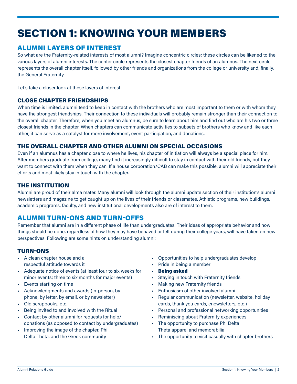# <span id="page-3-0"></span>SECTION 1: KNOWING YOUR MEMBERS

# ALUMNI LAYERS OF INTEREST

So what are the Fraternity-related interests of most alumni? Imagine concentric circles; these circles can be likened to the various layers of alumni interests. The center circle represents the closest chapter friends of an alumnus. The next circle represents the overall chapter itself, followed by other friends and organizations from the college or university and, finally, the General Fraternity.

Let's take a closer look at these layers of interest:

#### CLOSE CHAPTER FRIENDSHIPS

When time is limited, alumni tend to keep in contact with the brothers who are most important to them or with whom they have the strongest friendships. Their connection to these individuals will probably remain stronger than their connection to the overall chapter. Therefore, when you meet an alumnus, be sure to learn about him and find out who are his two or three closest friends in the chapter. When chapters can communicate activities to subsets of brothers who know and like each other, it can serve as a catalyst for more involvement, event participation, and donations.

#### THE OVERALL CHAPTER AND OTHER ALUMNI ON SPECIAL OCCASIONS

Even if an alumnus has a chapter close to where he lives, his chapter of initiation will always be a special place for him. After members graduate from college, many find it increasingly difficult to stay in contact with their old friends, but they want to connect with them when they can. If a house corporation/CAB can make this possible, alumni will appreciate their efforts and most likely stay in touch with the chapter.

#### THE INSTITUTION

Alumni are proud of their alma mater. Many alumni will look through the alumni update section of their institution's alumni newsletters and magazine to get caught up on the lives of their friends or classmates. Athletic programs, new buildings, academic programs, faculty, and new institutional developments also are of interest to them.

# ALUMNI TURN-ONS AND TURN-OFFS

Remember that alumni are in a different phase of life than undergraduates. Their ideas of appropriate behavior and how things should be done, regardless of how they may have behaved or felt during their college years, will have taken on new perspectives. Following are some hints on understanding alumni:

#### TURN-ONS

- A clean chapter house and a respectful attitude towards it
- Adequate notice of events (at least four to six weeks for minor events; three to six months for major events)
- Events starting on time
- Acknowledgments and awards (in-person, by phone, by letter, by email, or by newsletter)
- Old scrapbooks, etc.
- Being invited to and involved with the Ritual
- Contact by other alumni for requests for help/ donations (as opposed to contact by undergraduates)
- Improving the image of the chapter, Phi Delta Theta, and the Greek community
- Opportunities to help undergraduates develop
- Pride in being a member
- **Being asked**
- Staying in touch with Fraternity friends
- **Making new Fraternity friends**
- Enthusiasm of other involved alumni
- Regular communication (newsletter, website, holiday cards, thank you cards, enewsletters, etc.)
- Personal and professional networking opportunities
- Reminiscing about Fraternity experiences
- The opportunity to purchase Phi Delta Theta apparel and memorabilia
- The opportunity to visit casually with chapter brothers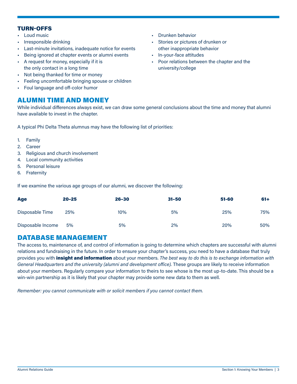#### <span id="page-4-0"></span>TURN-OFFS

- Loud music
- Irresponsible drinking
- Last-minute invitations, inadequate notice for events
- Being ignored at chapter events or alumni events
- A request for money, especially if it is the only contact in a long time
- Not being thanked for time or money
- Feeling uncomfortable bringing spouse or children
- Foul language and off-color humor

## ALUMNI TIME AND MONEY

• Drunken behavior

- Stories or pictures of drunken or other inappropriate behavior
- In-your-face attitudes
- Poor relations between the chapter and the university/college

While individual differences always exist, we can draw some general conclusions about the time and money that alumni have available to invest in the chapter.

A typical Phi Delta Theta alumnus may have the following list of priorities:

- 1. Family
- 2. Career
- 3. Religious and church involvement
- 4. Local community activities
- 5. Personal leisure
- 6. Fraternity

If we examine the various age groups of our alumni, we discover the following:

| <b>Age</b>        | $20 - 25$ | $26 - 30$ | $31 - 50$ | 51-60 | $61+$ |
|-------------------|-----------|-----------|-----------|-------|-------|
| Disposable Time   | 25%       | 10%       | 5%        | 25%   | 75%   |
| Disposable Income | 5%        | 5%        | 2%        | 20%   | 50%   |

## DATABASE MANAGEMENT

The access to, maintenance of, and control of information is going to determine which chapters are successful with alumni relations and fundraising in the future. In order to ensure your chapter's success, you need to have a database that truly provides you with insight and information about your members. *The best way to do this is to exchange information with General Headquarters and the university (alumni and development office).* These groups are likely to receive information about your members. Regularly compare your information to theirs to see whose is the most up-to-date. This should be a win-win partnership as it is likely that your chapter may provide some new data to them as well.

*Remember: you cannot communicate with or solicit members if you cannot contact them.*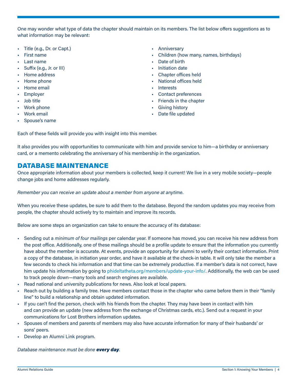- <span id="page-5-0"></span>• Title (e.g., Dr. or Capt.)
- First name
- Last name
- Suffix (e.g., Jr. or III)
- Home address
- Home phone
- Home email
- Employer
- Job title
- Work phone
- Work email
- Spouse's name
- Anniversary
- Children (how many, names, birthdays)
- Date of birth
- Initiation date
- Chapter offices held
- National offices held
- Interests
- Contact preferences
- Friends in the chapter
- Giving history
- Date file updated

Each of these fields will provide you with insight into this member.

It also provides you with opportunities to communicate with him and provide service to him—a birthday or anniversary card, or a memento celebrating the anniversary of his membership in the organization.

# DATABASE MAINTENANCE

Once appropriate information about your members is collected, keep it current! We live in a very mobile society—people change jobs and home addresses regularly.

#### *Remember you can receive an update about a member from anyone at anytime.*

When you receive these updates, be sure to add them to the database. Beyond the random updates you may receive from people, the chapter should actively try to maintain and improve its records.

Below are some steps an organization can take to ensure the accuracy of its database:

- Sending out a *minimum of four mailings* per calendar year. If someone has moved, you can receive his new address from the post office. Additionally, one of these mailings should be a profile update to ensure that the information you currently have about the member is accurate. At events, provide an opportunity for alumni to verify their contact information. Print a copy of the database, in initiation year order, and have it available at the check-in table. It will only take the member a few seconds to check his information and that time can be extremely productive. If a member's data is not correct, have him update his information by going to [phideltatheta.org/members/update-your-info/.](https://www.phideltatheta.org/members/update-your-info/) Additionally, the web can be used to track people down—many tools and search engines are available.
- Read national and university publications for news. Also look at local papers.
- Reach out by building a family tree. Have members contact those in the chapter who came before them in their "family line" to build a relationship and obtain updated information.
- If you can't find the person, check with his friends from the chapter. They may have been in contact with him and can provide an update (new address from the exchange of Christmas cards, etc.). Send out a request in your communications for Lost Brothers information updates.
- Spouses of members and parents of members may also have accurate information for many of their husbands' or sons' peers.
- Develop an Alumni Link program.

#### *Database maintenance must be done every day.*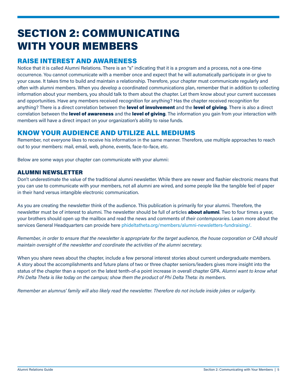# <span id="page-6-0"></span>SECTION 2: COMMUNICATING WITH YOUR MEMBERS

# RAISE INTEREST AND AWARENESS

Notice that it is called Alumni Relations. There is an "s" indicating that it is a program and a process, not a one-time occurrence. You cannot communicate with a member once and expect that he will automatically participate in or give to your cause. It takes time to build and maintain a relationship. Therefore, your chapter must communicate regularly and often with alumni members. When you develop a coordinated communications plan, remember that in addition to collecting information about your members, you should talk to them about the chapter. Let them know about your current successes and opportunities. Have any members received recognition for anything? Has the chapter received recognition for anything? There is a direct correlation between the level of involvement and the level of giving. There is also a direct correlation between the **level of awareness** and the **level of giving**. The information you gain from your interaction with members will have a direct impact on your organization's ability to raise funds.

# KNOW YOUR AUDIENCE AND UTILIZE ALL MEDIUMS

Remember, not everyone likes to receive his information in the same manner. Therefore, use multiple approaches to reach out to your members: mail, email, web, phone, events, face-to-face, etc.

Below are some ways your chapter can communicate with your alumni:

#### ALUMNI NEWSLETTER

Don't underestimate the value of the traditional alumni newsletter. While there are newer and flashier electronic means that you can use to communicate with your members, not all alumni are wired, and some people like the tangible feel of paper in their hand versus intangible electronic communication.

As you are creating the newsletter think of the audience. This publication is primarily for your alumni. Therefore, the newsletter must be of interest to alumni. The newsletter should be full of articles **about alumni**. Two to four times a year, your brothers should open up the mailbox and read the news and comments of *their contemporaries*. Learn more about the services General Headquarters can provide here [phideltatheta.org/members/alumni-newsletters-fundraising](https://www.phideltatheta.org/members/alumni-newsletters-fundraising/)/.

*Remember, in order to ensure that the newsletter is appropriate for the target audience, the house corporation or CAB should maintain oversight of the newsletter and coordinate the activities of the alumni secretary.*

When you share news about the chapter, include a few personal interest stories about current undergraduate members. A story about the accomplishments and future plans of two or three chapter seniors/leaders gives more insight into the status of the chapter than a report on the latest tenth-of-a point increase in overall chapter GPA. *Alumni want to know what Phi Delta Theta is like today on the campus; show them the product of Phi Delta Theta: its members.*

*Remember an alumnus' family will also likely read the newsletter. Therefore do not include inside jokes or vulgarity.*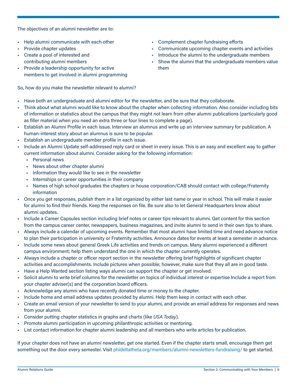The objectives of an alumni newsletter are to:

- Help alumni communicate with each other
- Provide chapter updates
- Create a pool of interested and contributing alumni members
- Provide a leadership opportunity for active members to get involved in alumni programming

So, how do you make the newsletter relevant to alumni?

- Complement chapter fundraising efforts
- Communicate upcoming chapter events and activities
- Introduce the alumni to the undergraduate members
- Show the alumni that the undergraduate members value them
- Have both an undergraduate and alumni editor for the newsletter, and be sure that they collaborate.
- Think about what alumni would like to know about the chapter when collecting information. Also consider including bits of information or statistics about the campus that they might not learn from other alumni publications (particularly good as filler material when you need an extra three or four lines to complete a page).
- Establish an Alumni Profile in each issue. Interview an alumnus and write up an interview summary for publication. A human-interest story about an alumnus is sure to be popular.
- Establish an undergraduate member profile in each issue.
- Include an Alumni Update self-addressed reply card or sheet in every issue. This is an easy and excellent way to gather current information about alumni. Consider asking for the following information:
	- Personal news
	- News about other chapter alumni
	- Information they would like to see in the newsletter
	- Internships or career opportunities in their company
	- Names of high school graduates the chapters or house corporation/CAB should contact with college/Fraternity information
- Once you get responses, publish them in a list organized by either last name or year in school. This will make it easier for alumni to find their friends. Keep the responses on file. Be sure also to let General Headquarters know about alumni updates.
- Include a Career Capsules section including brief notes or career tips relevant to alumni. Get content for this section from the campus career center, newspapers, business magazines, and invite alumni to send in their own tips to share.
- Always include a calendar of upcoming events. Remember that most alumni have limited time and need advance notice to plan their participation in university or Fraternity activities. Announce dates for events at least a semester in advance.
- Include some news about general Greek Life activities and trends on campus. Many alumni experienced a different campus environment; help them understand the one in which the chapter currently operates.
- Always include a chapter or officer report section in the newsletter offering brief highlights of significant chapter activities and accomplishments. Include pictures when possible; however, make sure that they all are in good taste.
- Have a Help Wanted section listing ways alumni can support the chapter or get involved.
- Solicit alumni to write brief columns for the newsletter on topics of individual interest or expertise Include a report from your chapter adviser(s) and the corporation board officers.
- Acknowledge any alumni who have recently donated time or money to the chapter.
- Include home and email address updates provided by alumni. Help them keep in contact with each other.
- Create an email version of your newsletter to send to your alumni, and provide an email address for responses and news from your alumni.
- Consider putting chapter statistics in graphs and charts (like *USA Today*).
- Promote alumni participation in upcoming philanthropic activities or mentoring.
- List contact information for chapter alumni leadership and all members who write articles for publication.

If your chapter does not have an alumni newsletter, get one started. Even if the chapter starts small, encourage them get something out the door every semester. Visit [phideltatheta.org/members/alumni-newsletters-fundraising/](https://www.phideltatheta.org/members/alumni-newsletters-fundraising/) to get started.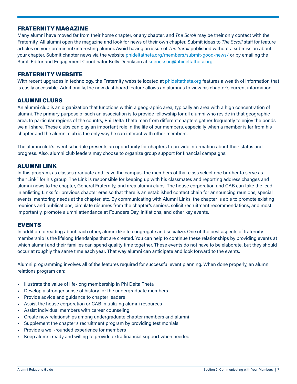#### <span id="page-8-0"></span>FRATERNITY MAGAZINE

Many alumni have moved far from their home chapter, or any chapter, and *The Scroll* may be their only contact with the Fraternity. All alumni open the magazine and look for news of their own chapter. Submit ideas to *The Scroll* staff for feature articles on your prominent/interesting alumni. Avoid having an issue of *The Scroll* published without a submission about your chapter. Submit chapter news via the website [phideltatheta.org/members/submit-good-news/](https://www.phideltatheta.org/members/submit-good-news/) or by emailing the Scroll Editor and Engagement Coordinator Kelly Derickson at [kderickson@phideltatheta.org](mailto:kderickson%40phideltatheta.org?subject=Chapter%20News).

#### FRATERNITY WEBSITE

With recent upgrades in technology, the Fraternity website located at [phideltatheta.org](https://www.phideltatheta.org) features a wealth of information that is easily accessible. Additionally, the new dashboard feature allows an alumnus to view his chapter's current information.

#### ALUMNI CLUBS

An alumni club is an organization that functions within a geographic area, typically an area with a high concentration of alumni. The primary purpose of such an association is to provide fellowship for all alumni who reside in that geographic area. In particular regions of the country, Phi Delta Theta men from different chapters gather frequently to enjoy the bonds we all share. These clubs can play an important role in the life of our members, especially when a member is far from his chapter and the alumni club is the only way he can interact with other members.

The alumni club's event schedule presents an opportunity for chapters to provide information about their status and progress. Also, alumni club leaders may choose to organize group support for financial campaigns.

#### ALUMNI LINK

In this program, as classes graduate and leave the campus, the members of that class select one brother to serve as the "Link" for his group. The Link is responsible for keeping up with his classmates and reporting address changes and alumni news to the chapter, General Fraternity, and area alumni clubs. The house corporation and CAB can take the lead in enlisting Links for previous chapter eras so that there is an established contact chain for announcing reunions, special events, mentoring needs at the chapter, etc. By communicating with Alumni Links, the chapter is able to promote existing reunions and publications, circulate résumés from the chapter's seniors, solicit recruitment recommendations, and most importantly, promote alumni attendance at Founders Day, initiations, and other key events.

#### EVENTS

In addition to reading about each other, alumni like to congregate and socialize. One of the best aspects of fraternity membership is the lifelong friendships that are created. You can help to continue these relationships by providing events at which alumni and their families can spend quality time together. These events do not have to be elaborate, but they should occur at roughly the same time each year. That way alumni can anticipate and look forward to the events.

Alumni programming involves all of the features required for successful event planning. When done properly, an alumni relations program can:

- Illustrate the value of life-long membership in Phi Delta Theta
- Develop a stronger sense of history for the undergraduate members
- Provide advice and guidance to chapter leaders
- Assist the house corporation or CAB in utilizing alumni resources
- Assist individual members with career counseling
- Create new relationships among undergraduate chapter members and alumni
- Supplement the chapter's recruitment program by providing testimonials
- Provide a well-rounded experience for members
- Keep alumni ready and willing to provide extra financial support when needed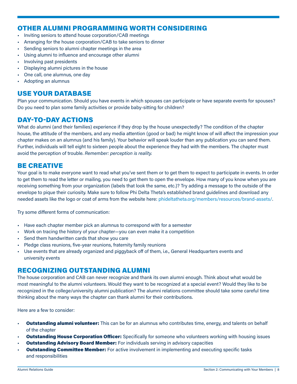# <span id="page-9-0"></span>OTHER ALUMNI PROGRAMMING WORTH CONSIDERING

- Inviting seniors to attend house corporation/CAB meetings
- Arranging for the house corporation/CAB to take seniors to dinner
- Sending seniors to alumni chapter meetings in the area
- Using alumni to influence and encourage other alumni
- Involving past presidents
- Displaying alumni pictures in the house
- One call, one alumnus, one day
- Adopting an alumnus

# USE YOUR DATABASE

Plan your communication. Should you have events in which spouses can participate or have separate events for spouses? Do you need to plan some family activities or provide baby-sitting for children?

# DAY-TO-DAY ACTIONS

What do alumni (and their families) experience if they drop by the house unexpectedly? The condition of the chapter house, the attitude of the members, and any media attention (good or bad) he might know of will affect the impression your chapter makes on an alumnus (and his family). Your behavior will speak louder than any publication you can send them. Further, individuals will tell eight to sixteen people about the experience they had with the members. The chapter must avoid the perception of trouble. *Remember: perception is reality.*

# BE CREATIVE

Your goal is to make everyone want to read what you've sent them or to get them to expect to participate in events. In order to get them to read the letter or mailing, you need to get them to open the envelope. How many of you know when you are receiving something from your organization (labels that look the same, etc.)? Try adding a message to the outside of the envelope to pique their curiosity. Make sure to follow Phi Delta Theta's established brand guidelines and download any needed assets like the logo or coat of arms from the website here: [phideltatheta.org/members/resources/brand-assets/](https://www.phideltatheta.org/members/resources/brand-assets/).

Try some different forms of communication:

- Have each chapter member pick an alumnus to correspond with for a semester
- Work on tracing the history of your chapter—you can even make it a competition
- Send them handwritten cards that show you care
- Pledge class reunions, five-year reunions, fraternity family reunions
- Use events that are already organized and piggyback off of them, i.e., General Headquarters events and university events

## RECOGNIZING OUTSTANDING ALUMNI

The house corporation and CAB can never recognize and thank its own alumni enough. Think about what would be most meaningful to the alumni volunteers. Would they want to be recognized at a special event? Would they like to be recognized in the college/university alumni publication? The alumni relations committee should take some careful time thinking about the many ways the chapter can thank alumni for their contributions.

Here are a few to consider:

- **Outstanding alumni volunteer:** This can be for an alumnus who contributes time, energy, and talents on behalf of the chapter
- **Outstanding House Corporation Officer:** Specifically for someone who volunteers working with housing issues
- **Outstanding Advisory Board Member:** For individuals serving in advisory capacities
- **Outstanding Committee Member:** For active involvement in implementing and executing specific tasks and responsibilities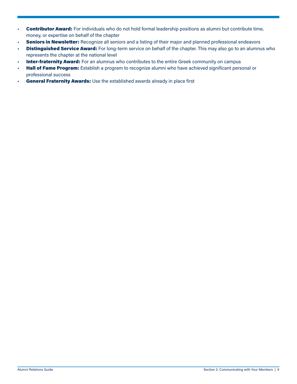- Contributor Award: For individuals who do not hold formal leadership positions as alumni but contribute time, money, or expertise on behalf of the chapter
- Seniors in Newsletter: Recognize all seniors and a listing of their major and planned professional endeavors
- Distinguished Service Award: For long-term service on behalf of the chapter. This may also go to an alumnus who represents the chapter at the national level
- Inter-fraternity Award: For an alumnus who contributes to the entire Greek community on campus
- Hall of Fame Program: Establish a program to recognize alumni who have achieved significant personal or professional success
- General Fraternity Awards: Use the established awards already in place first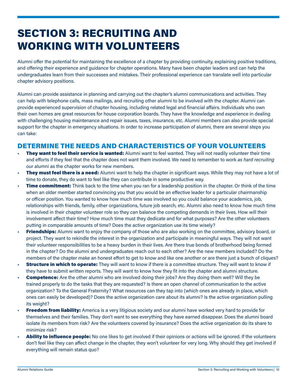# <span id="page-11-0"></span>SECTION 3: RECRUITING AND WORKING WITH VOLUNTEERS

Alumni offer the potential for maintaining the excellence of a chapter by providing continuity, explaining positive traditions, and offering their experience and guidance for chapter operations. Many have been chapter leaders and can help the undergraduates learn from their successes and mistakes. Their professional experience can translate well into particular chapter advisory positions.

Alumni can provide assistance in planning and carrying out the chapter's alumni communications and activities. They can help with telephone calls, mass mailings, and recruiting other alumni to be involved with the chapter. Alumni can provide experienced supervision of chapter housing, including related legal and financial affairs. Individuals who own their own homes are great resources for house corporation boards. They have the knowledge and experience in dealing with challenging housing maintenance and repair issues, taxes, insurance, etc. Alumni members can also provide special support for the chapter in emergency situations. In order to increase participation of alumni, there are several steps you can take:

# DETERMINE THE NEEDS AND CHARACTERISTICS OF YOUR VOLUNTEERS

- **They want to feel their service is wanted:** Alumni want to feel wanted. They will not readily volunteer their time and efforts if they feel that the chapter does not want them involved. We need to remember to work *as hard recruiting* our alumni as the chapter works for new members.
- **They must feel there is a need:** Alumni want to help the chapter in significant ways. While they may not have a lot of time to donate, they do want to feel like they can contribute in some productive way.
- Time commitment: Think back to the time when you ran for a leadership position in the chapter. Or think of the time when an older member started convincing you that you would be an effective leader for a particular chairmanship or officer position. You wanted to know how much time was involved so you could balance your academics, job, relationships with friends, family, other organizations, future job search, etc. Alumni also need to know how much time is involved in their chapter volunteer role so they can balance the competing demands in their lives. How will their involvement affect their time? How much time must they dedicate and for what purposes? Are the other volunteers putting in comparable amounts of time? Does the active organization use its time wisely?
- **Friendships:** Alumni want to enjoy the company of those who are also working on the committee, advisory board, or project. They want to rekindle the interest in the organization and participate in meaningful ways. They will not want their volunteer responsibilities to be a heavy burden in their lives. Are there true bonds of brotherhood being formed in the chapter? Do the alumni and undergraduates reach out to each other? Are the new members included? Do the members of the chapter make an honest effort to get to know and like one another or are there just a bunch of cliques?
- **Structure in which to operate:** They will want to know if there is a committee structure. They will want to know if they have to submit written reports. They will want to know how they fit into the chapter and alumni structure.
- **Competence:** Are the other alumni who are involved doing their jobs? Are they doing them well? Will they be trained properly to do the tasks that they are requested? Is there an open channel of communication to the active organization? To the General Fraternity? What resources can they tap into (which ones are already in place, which ones can easily be developed)? Does the active organization care about its alumni? Is the active organization pulling its weight?
- **Freedom from liability:** America is a very litigious society and our alumni have worked very hard to provide for themselves and their families. They don't want to see everything they have earned disappear. Does the alumni board isolate its members from risk? Are the volunteers covered by insurance? Does the active organization do its share to minimize risk?
- Ability to influence people: No one likes to get involved if their opinions or actions will be ignored. If the volunteers don't feel like they can affect change in the chapter, they won't volunteer for very long. Why should they get involved if everything will remain status quo?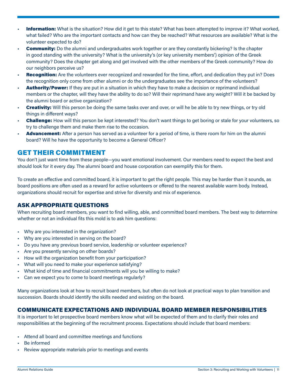- <span id="page-12-0"></span>**Information:** What is the situation? How did it get to this state? What has been attempted to improve it? What worked, what failed? Who are the important contacts and how can they be reached? What resources are available? What is the volunteer expected to do?
- **Community:** Do the alumni and undergraduates work together or are they constantly bickering? Is the chapter in good standing with the university? What is the university's (or key university members') opinion of the Greek community? Does the chapter get along and get involved with the other members of the Greek community? How do our neighbors perceive us?
- **Recognition:** Are the volunteers ever recognized and rewarded for the time, effort, and dedication they put in? Does the recognition only come from other alumni or do the undergraduates see the importance of the volunteers?
- Authority/Power: If they are put in a situation in which they have to make a decision or reprimand individual members or the chapter, will they have the ability to do so? Will their reprimand have any weight? Will it be backed by the alumni board or active organization?
- **Creativity:** Will this person be doing the same tasks over and over, or will he be able to try new things, or try old things in different ways?
- **Challenge:** How will this person be kept interested? You don't want things to get boring or stale for your volunteers, so try to challenge them and make them rise to the occasion.
- Advancement: After a person has served as a volunteer for a period of time, is there room for him on the alumni board? Will he have the opportunity to become a General Officer?

# GET THEIR COMMITMENT

You don't just want time from these people-you want emotional involvement. Our members need to expect the best and should look for it every day. The alumni board and house corporation can exemplify this for them.

To create an effective and committed board, it is important to get the right people. This may be harder than it sounds, as board positions are often used as a reward for active volunteers or offered to the nearest available warm body. Instead, organizations should recruit for expertise and strive for diversity and mix of experience.

#### ASK APPROPRIATE QUESTIONS

When recruiting board members, you want to find willing, able, and committed board members. The best way to determine whether or not an individual fits this mold is to ask him questions:

- Why are you interested in the organization?
- Why are you interested in serving on the board?
- Do you have any previous board service, leadership or volunteer experience?
- Are you presently serving on other boards?
- How will the organization benefit from your participation?
- What will you need to make your experience satisfying?
- What kind of time and financial commitments will you be willing to make?
- Can we expect you to come to board meetings regularly?

Many organizations look at how to recruit board members, but often do not look at practical ways to plan transition and succession. Boards should identify the skills needed and existing on the board.

#### COMMUNICATE EXPECTATIONS AND INDIVIDUAL BOARD MEMBER RESPONSIBILITIES

It is important to let prospective board members know what will be expected of them and to clarify their roles and responsibilities at the beginning of the recruitment process. Expectations should include that board members:

- Attend all board and committee meetings and functions
- Be informed
- Review appropriate materials prior to meetings and events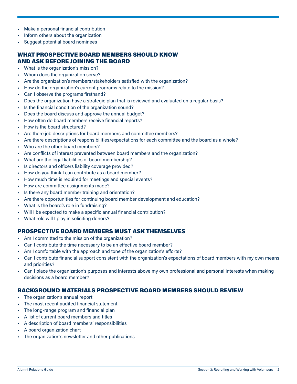- <span id="page-13-0"></span>• Make a personal financial contribution
- Inform others about the organization
- Suggest potential board nominees

#### WHAT PROSPECTIVE BOARD MEMBERS SHOULD KNOW AND ASK BEFORE JOINING THE BOARD

- What is the organization's mission?
- Whom does the organization serve?
- Are the organization's members/stakeholders satisfied with the organization?
- How do the organization's current programs relate to the mission?
- Can I observe the programs firsthand?
- Does the organization have a strategic plan that is reviewed and evaluated on a regular basis?
- Is the financial condition of the organization sound?
- Does the board discuss and approve the annual budget?
- How often do board members receive financial reports?
- How is the board structured?
- Are there job descriptions for board members and committee members?
- Are there descriptions of responsibilities/expectations for each committee and the board as a whole?
- Who are the other board members?
- Are conflicts of interest prevented between board members and the organization?
- What are the legal liabilities of board membership?
- Is directors and officers liability coverage provided?
- How do you think I can contribute as a board member?
- How much time is required for meetings and special events?
- How are committee assignments made?
- Is there any board member training and orientation?
- Are there opportunities for continuing board member development and education?
- What is the board's role in fundraising?
- Will I be expected to make a specific annual financial contribution?
- What role will I play in soliciting donors?

#### PROSPECTIVE BOARD MEMBERS MUST ASK THEMSELVES

- Am I committed to the mission of the organization?
- Can I contribute the time necessary to be an effective board member?
- Am I comfortable with the approach and tone of the organization's efforts?
- Can I contribute financial support consistent with the organization's expectations of board members with my own means and priorities?
- Can I place the organization's purposes and interests above my own professional and personal interests when making decisions as a board member?

#### BACKGROUND MATERIALS PROSPECTIVE BOARD MEMBERS SHOULD REVIEW

- The organization's annual report
- The most recent audited financial statement
- The long-range program and financial plan
- A list of current board members and titles
- A description of board members' responsibilities
- A board organization chart
- The organization's newsletter and other publications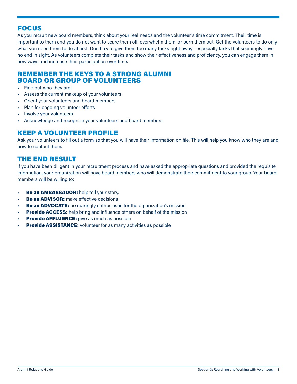# <span id="page-14-0"></span>FOCUS

As you recruit new board members, think about your real needs and the volunteer's time commitment. Their time is important to them and you do not want to scare them off, overwhelm them, or burn them out. Get the volunteers to do only what you need them to do at first. Don't try to give them too many tasks right away—especially tasks that seemingly have no end in sight. As volunteers complete their tasks and show their effectiveness and proficiency, you can engage them in new ways and increase their participation over time.

## REMEMBER THE KEYS TO A STRONG ALUMNI BOARD OR GROUP OF VOLUNTEERS

- Find out who they are!
- Assess the current makeup of your volunteers
- Orient your volunteers and board members
- Plan for ongoing volunteer efforts
- Involve your volunteers
- Acknowledge and recognize your volunteers and board members.

# KEEP A VOLUNTEER PROFILE

Ask your volunteers to fill out a form so that you will have their information on file. This will help you know who they are and how to contact them.

# THE END RESULT

If you have been diligent in your recruitment process and have asked the appropriate questions and provided the requisite information, your organization will have board members who will demonstrate their commitment to your group. Your board members will be willing to:

- Be an AMBASSADOR: help tell your story.
- **Be an ADVISOR:** make effective decisions
- **Be an ADVOCATE:** be roaringly enthusiastic for the organization's mission
- **Provide ACCESS:** help bring and influence others on behalf of the mission
- **Provide AFFLUENCE:** give as much as possible
- **Provide ASSISTANCE:** volunteer for as many activities as possible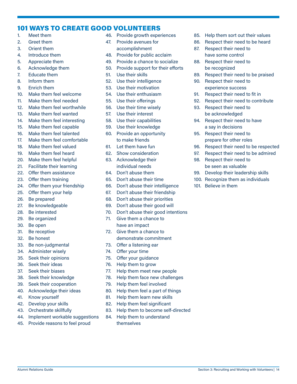# <span id="page-15-0"></span>101 WAYS TO CREATE GOOD VOLUNTEERS

- 1. Meet them
- 2. Greet them
- 3. Orient them
- 4. Introduce them
- 5. Appreciate them
- 6. Acknowledge them
- 7. Educate them
- 8. Inform them
- 9. Enrich them
- 10. Make them feel welcome
- 11. Make them feel needed
- 12. Make them feel worthwhile
- 13. Make them feel wanted
- 14. Make them feel interesting
- 15. Make them feel capable
- 16. Make them feel talented
- 17. Make them feel comfortable
- 18. Make them feel valued
- 19. Make them feel heard
- 20. Make them feel helpful
- 21. Facilitate their learning
- 22. Offer them assistance
- 23. Offer them training
- 24. Offer them your friendship
- 25. Offer them your help
- 26. Be prepared
- 27. Be knowledgeable
- 28. Be interested
- 29. Be organized
- 30. Be open
- 31. Be receptive
- 32. Be honest
- 33. Be non-judgmental
- 34. Administer wisely
- 35. Seek their opinions
- 36. Seek their ideas
- 37. Seek their biases
- 38. Seek their knowledge
- 39. Seek their cooperation
- 40. Acknowledge their ideas
- 41. Know yourself
- 42. Develop your skills
- 43. Orchestrate skillfully
- 44. Implement workable suggestions
- 45. Provide reasons to feel proud
- 46. Provide growth experiences
- 47. Provide avenues for accomplishment
- 48. Provide for public acclaim
- 49. Provide a chance to socialize
- 50. Provide support for their efforts
- 51. Use their skills
- 52. Use their intelligence
- 53. Use their motivation
- 54. Use their enthusiasm
- 55. Use their offerings
- 56. Use their time wisely
- 57. Use their interest
- 58. Use their capabilities
- 59. Use their knowledge
- 60. Provide an opportunity to make friends
- 61. Let them have fun
- 62. Show consideration
- 63. Acknowledge their individual needs
- 64. Don't abuse them
- 65. Don't abuse their time
- 66. Don't abuse their intelligence
- 67. Don't abuse their friendship
- 68. Don't abuse their priorities
- 69. Don't abuse their good will
- 70. Don't abuse their good intentions
- 71. Give them a chance to have an impact
- 72. Give them a chance to demonstrate commitment
- 73. Offer a listening ear
- 74. Offer your time
- 75. Offer your guidance
- 76. Help them to grow
- 77. Help them meet new people
- 78. Help them face new challenges
- 79. Help them feel involved
- 80. Help them feel a part of things
- 81. Help them learn new skills
- 82. Help them feel significant
- 83. Help them to become self-directed

Alumni Relations Guide Section 3: Recruiting and Working with Volunteers | 14

84. Help them to understand themselves

- 85. Help them sort out their values
- 86. Respect their need to be heard
- 87. Respect their need to have some control
- 88. Respect their need to be recognized
- 89. Respect their need to be praised
- 90. Respect their need to experience success
- 91. Respect their need to fit in
- 92. Respect their need to contribute
- 93. Respect their need to be acknowledged
- 94. Respect their need to have a say in decisions
- 95. Respect their need to prepare for other roles
- 96. Respect their need to be respected
- 97. Respect their need to be admired
- 98. Respect their need to be seen as valuable

101. Believe in them

99. Develop their leadership skills 100. Recognize them as individuals